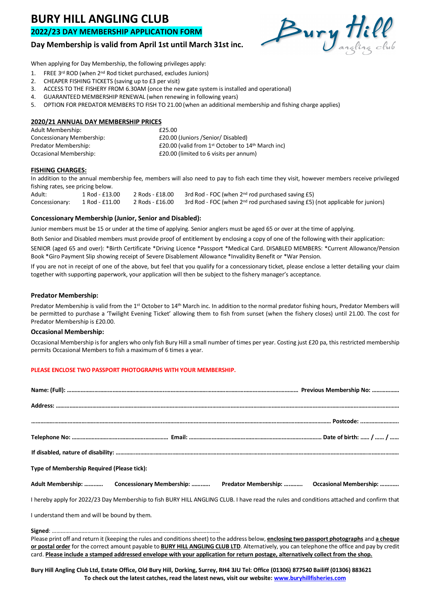# **BURY HILL ANGLING CLUB**

# **2022/23 DAY MEMBERSHIP APPLICATION FORM**

# **Day Membership is valid from April 1st until March 31st inc.**



When applying for Day Membership, the following privileges apply:

- 1. FREE 3rd ROD (when 2nd Rod ticket purchased, excludes Juniors)
- 2. CHEAPER FISHING TICKETS (saving up to £3 per visit)
- 3. ACCESS TO THE FISHERY FROM 6.30AM (once the new gate system is installed and operational)
- 4. GUARANTEED MEMBERSHIP RENEWAL (when renewing in following years)
- 5. OPTION FOR PREDATOR MEMBERS TO FISH TO 21.00 (when an additional membership and fishing charge applies)

## **2020/21 ANNUAL DAY MEMBERSHIP PRICES**

| Adult Membership:         | £25.00                                                                    |  |
|---------------------------|---------------------------------------------------------------------------|--|
| Concessionary Membership: | £20.00 (Juniors /Senior/ Disabled)                                        |  |
| Predator Membership:      | £20.00 (valid from 1 <sup>st</sup> October to 14 <sup>th</sup> March inc) |  |
| Occasional Membership:    | £20.00 (limited to 6 visits per annum)                                    |  |

## **FISHING CHARGES:**

In addition to the annual membership fee, members will also need to pay to fish each time they visit, however members receive privileged fishing rates, see pricing below.

Adult: 1 Rod - £13.00 2 Rods - £18.00 3rd Rod - FOC (when 2<sup>nd</sup> rod purchased saving £5) Concessionary: 1 Rod - £11.00 2 Rods - £16.00 3rd Rod - FOC (when 2nd rod purchased saving £5) (not applicable for juniors)

## **Concessionary Membership (Junior, Senior and Disabled):**

Junior members must be 15 or under at the time of applying. Senior anglers must be aged 65 or over at the time of applying.

Both Senior and Disabled members must provide proof of entitlement by enclosing a copy of one of the following with their application:

SENIOR (aged 65 and over): \*Birth Certificate \*Driving Licence \*Passport \*Medical Card. DISABLED MEMBERS: \*Current Allowance/Pension Book \*Giro Payment Slip showing receipt of Severe Disablement Allowance \*Invalidity Benefit or \*War Pension.

If you are not in receipt of one of the above, but feel that you qualify for a concessionary ticket, please enclose a letter detailing your claim together with supporting paperwork, your application will then be subject to the fishery manager's acceptance.

# **Predator Membership:**

Predator Membership is valid from the 1st October to 14th March inc. In addition to the normal predator fishing hours, Predator Members will be permitted to purchase a 'Twilight Evening Ticket' allowing them to fish from sunset (when the fishery closes) until 21.00. The cost for Predator Membership is £20.00.

## **Occasional Membership:**

Occasional Membership is for anglers who only fish Bury Hill a small number of times per year. Costing just £20 pa, this restricted membership permits Occasional Members to fish a maximum of 6 times a year.

# **PLEASE ENCLOSE TWO PASSPORT PHOTOGRAPHS WITH YOUR MEMBERSHIP.**

| Type of Membership Required (Please tick):                                                                                               |                                                                                                                                                                                                                                                                                                                                          |  |  |  |
|------------------------------------------------------------------------------------------------------------------------------------------|------------------------------------------------------------------------------------------------------------------------------------------------------------------------------------------------------------------------------------------------------------------------------------------------------------------------------------------|--|--|--|
|                                                                                                                                          | Adult Membership:  Concessionary Membership:  Predator Membership:  Occasional Membership:                                                                                                                                                                                                                                               |  |  |  |
| I hereby apply for 2022/23 Day Membership to fish BURY HILL ANGLING CLUB. I have read the rules and conditions attached and confirm that |                                                                                                                                                                                                                                                                                                                                          |  |  |  |
| I understand them and will be bound by them.                                                                                             |                                                                                                                                                                                                                                                                                                                                          |  |  |  |
|                                                                                                                                          | Please print off and return it (keeping the rules and conditions sheet) to the address below, enclosing two passport photographs and a cheque<br>$\mathbf{r}$ , and $\mathbf{r}$ , and $\mathbf{r}$ , and $\mathbf{r}$ , and $\mathbf{r}$ , and $\mathbf{r}$ , and $\mathbf{r}$ , and $\mathbf{r}$ , and $\mathbf{r}$ , and $\mathbf{r}$ |  |  |  |

**or postal order** for the correct amount payable to **BURY HILL ANGLING CLUB LTD**. Alternatively, you can telephone the office and pay by credit card. **Please include a stamped addressed envelope with your application for return postage, alternatively collect from the shop.**

**Bury Hill Angling Club Ltd, Estate Office, Old Bury Hill, Dorking, Surrey, RH4 3JU Tel: Office (01306) 877540 Bailiff (01306) 883621 To check out the latest catches, read the latest news, visit our website: www.buryhillfisheries.com**